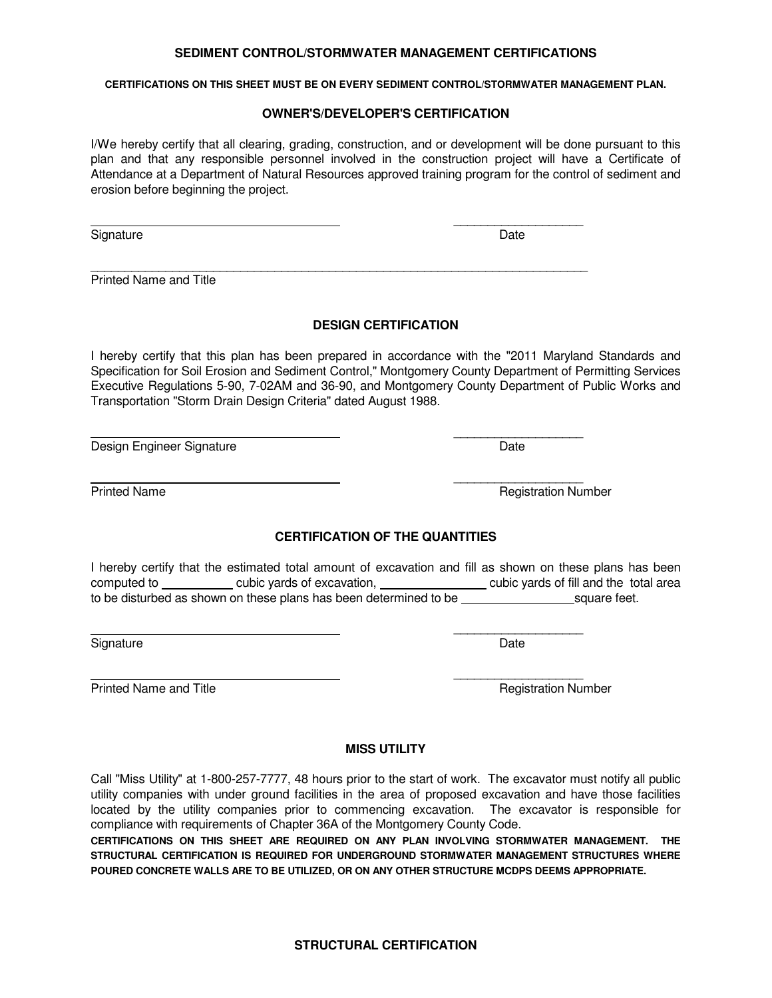### **SEDIMENT CONTROL/STORMWATER MANAGEMENT CERTIFICATIONS**

**CERTIFICATIONS ON THIS SHEET MUST BE ON EVERY SEDIMENT CONTROL/STORMWATER MANAGEMENT PLAN.** 

#### **OWNER'S/DEVELOPER'S CERTIFICATION**

I/We hereby certify that all clearing, grading, construction, and or development will be done pursuant to this plan and that any responsible personnel involved in the construction project will have a Certificate of Attendance at a Department of Natural Resources approved training program for the control of sediment and erosion before beginning the project.

\_\_\_\_\_\_\_\_\_\_\_\_\_\_\_\_\_\_\_

\_\_\_\_\_\_\_\_\_\_\_\_\_\_\_\_\_\_\_\_\_\_\_\_\_\_\_\_\_\_\_\_\_\_\_\_\_\_\_\_\_\_\_\_\_\_\_\_\_\_\_\_\_\_\_\_\_\_\_\_\_\_\_\_\_\_\_\_\_\_\_\_\_

 $\overline{\phantom{a}}$  , and the contract of the contract of the contract of the contract of the contract of the contract of the contract of the contract of the contract of the contract of the contract of the contract of the contrac

 $\overline{\phantom{a}}$  , and the contract of the contract of the contract of the contract of the contract of the contract of the contract of the contract of the contract of the contract of the contract of the contract of the contrac

 $\overline{\phantom{a}}$  , and the contract of the contract of the contract of the contract of the contract of the contract of the contract of the contract of the contract of the contract of the contract of the contract of the contrac

 $\overline{\phantom{a}}$  , and the contract of the contract of the contract of the contract of the contract of the contract of the contract of the contract of the contract of the contract of the contract of the contract of the contrac

Signature Date

Printed Name and Title

## **DESIGN CERTIFICATION**

I hereby certify that this plan has been prepared in accordance with the "2011 Maryland Standards and Specification for Soil Erosion and Sediment Control," Montgomery County Department of Permitting Services Executive Regulations 5-90, 7-02AM and 36-90, and Montgomery County Department of Public Works and Transportation "Storm Drain Design Criteria" dated August 1988.

Design Engineer Signature **Date** Date Date

Printed Name **Registration Number** Registration Number

# **CERTIFICATION OF THE QUANTITIES**

I hereby certify that the estimated total amount of excavation and fill as shown on these plans has been computed to cubic yards of excavation, cubic yards of fill and the total area to be disturbed as shown on these plans has been determined to be square feet.

Signature Date

Printed Name and Title **Registration Number** Registration Number

## **MISS UTILITY**

Call "Miss Utility" at 1-800-257-7777, 48 hours prior to the start of work. The excavator must notify all public utility companies with under ground facilities in the area of proposed excavation and have those facilities located by the utility companies prior to commencing excavation. The excavator is responsible for compliance with requirements of Chapter 36A of the Montgomery County Code.

**CERTIFICATIONS ON THIS SHEET ARE REQUIRED ON ANY PLAN INVOLVING STORMWATER MANAGEMENT. THE STRUCTURAL CERTIFICATION IS REQUIRED FOR UNDERGROUND STORMWATER MANAGEMENT STRUCTURES WHERE POURED CONCRETE WALLS ARE TO BE UTILIZED, OR ON ANY OTHER STRUCTURE MCDPS DEEMS APPROPRIATE.**